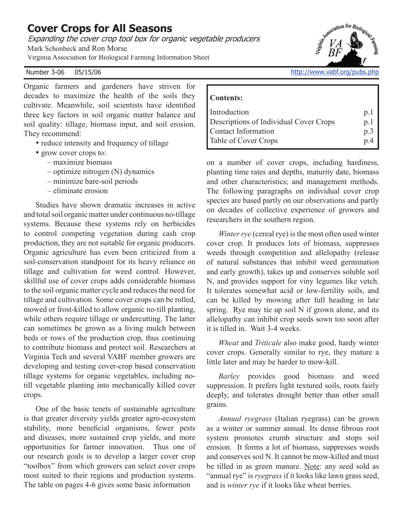# **Cover Crops for All Seasons**

Expanding the cover crop tool box for organic vegetable producers

Mark Schonbeck and Ron Morse

Virginia Association for Biological Farming Information Sheet

Organic farmers and gardeners have striven for decades to maximize the health of the soils they cultivate. Meanwhile, soil scientists have identified three key factors in soil organic matter balance and soil quality: tillage, biomass input, and soil erosion. They recommend:

- reduce intensity and frequency of tillage
- grow cover crops to:
	- maximize biomass
	- optimize nitrogen (N) dynamics
	- minimize bare-soil periods
	- eliminate erosion

Studies have shown dramatic increases in active and total soil organic matter under continuous no-tillage systems. Because these systems rely on herbicides to control competing vegetation during cash crop production, they are not suitable for organic producers. Organic agriculture has even been criticized from a soil-conservation standpoint for its heavy reliance on tillage and cultivation for weed control. However, skillful use of cover crops adds considerable biomass to the soil organic matter cycle and reduces the need for tillage and cultivation. Some cover crops can be rolled, mowed or frost-killed to allow organic no-till planting, while others require tillage or undercutting. The latter can sometimes be grown as a living mulch between beds or rows of the production crop, thus continuing to contribute biomass and protect soil. Researchers at Virginia Tech and several VABF member growers are developing and testing cover-crop based conservation tillage systems for organic vegetables, including notill vegetable planting into mechanically killed cover crops.

One of the basic tenets of sustainable agriculture is that greater diversity yields greater agro-ecosystem stability, more beneficial organisms, fewer pests and diseases, more sustained crop yields, and more opportunities for farmer innovation. Thus one of our research goals is to develop a larger cover crop "toolbox" from which growers can select cover crops most suited to their regions and production systems. The table on pages 4-6 gives some basic information

Number 3-06 05/15/06 **http://www.vabf.org/pubs.php** 

#### **Contents:**

| Introduction                           | p.1 |
|----------------------------------------|-----|
| Descriptions of Individual Cover Crops | p.1 |
| Contact Information                    | p.3 |
| <b>Table of Cover Crops</b>            | p.4 |

on a number of cover crops, including hardiness, planting time rates and depths, maturity date, biomass and other characteristics; and management methods. The following paragraphs on individual cover crop species are based partly on our observations and partly on decades of collective experience of growers and researchers in the southern region.

*Winter rye* (cereal rye) is the most often used winter cover crop. It produces lots of biomass, suppresses weeds through competition and allelopathy (release of natural substances that inhibit weed germination and early growth), takes up and conserves soluble soil N, and provides support for viny legumes like vetch. It tolerates somewhat acid or low-fertility soils, and can be killed by mowing after full heading in late spring. Rye may tie up soil N if grown alone, and its allelopathy can inhibit crop seeds sown too soon after it is tilled in. Wait 3-4 weeks.

*Wheat* and *Triticale* also make good, hardy winter cover crops. Generally similar to rye, they mature a little later and may be harder to mow-kill.

*Barley* provides good biomass and weed suppression. It prefers light textured soils, roots fairly deeply, and tolerates drought better than other small grains.

*Annual ryegrass* (Italian ryegrass) can be grown as a winter or summer annual. Its dense fibrous root system promotes crumb structure and stops soil erosion. It forms a lot of biomass, suppresses weeds and conserves soil N. It cannot be mow-killed and must be tilled in as green manure. Note: any seed sold as "annual rye" is *ryegrass* if it looks like lawn grass seed, and is *winter rye* if it looks like wheat berries.

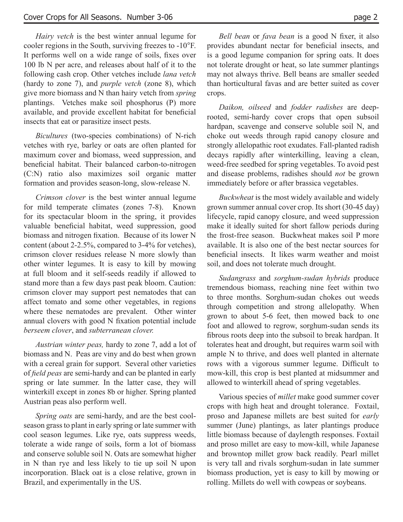*Hairy vetch* is the best winter annual legume for cooler regions in the South, surviving freezes to -10°F. It performs well on a wide range of soils, fixes over 100 lb N per acre, and releases about half of it to the following cash crop. Other vetches include *lana vetch*  (hardy to zone 7), and *purple vetch* (zone 8), which give more biomass and N than hairy vetch from *spring*  plantings. Vetches make soil phosphorus (P) more available, and provide excellent habitat for beneficial insects that eat or parasitize insect pests.

*Bicultures* (two-species combinations) of N-rich vetches with rye, barley or oats are often planted for maximum cover and biomass, weed suppression, and beneficial habitat. Their balanced carbon-to-nitrogen (C:N) ratio also maximizes soil organic matter formation and provides season-long, slow-release N.

*Crimson clover* is the best winter annual legume for mild temperate climates (zones 7-8). Known for its spectacular bloom in the spring, it provides valuable beneficial habitat, weed suppression, good biomass and nitrogen fixation. Because of its lower N content (about 2-2.5%, compared to 3-4% for vetches), crimson clover residues release N more slowly than other winter legumes. It is easy to kill by mowing at full bloom and it self-seeds readily if allowed to stand more than a few days past peak bloom. Caution: crimson clover may support pest nematodes that can affect tomato and some other vegetables, in regions where these nematodes are prevalent. Other winter annual clovers with good N fixation potential include *berseem clover*, and *subterranean clover.*

*Austrian winter peas,* hardy to zone 7, add a lot of biomass and N. Peas are viny and do best when grown with a cereal grain for support. Several other varieties of *field peas* are semi-hardy and can be planted in early spring or late summer. In the latter case, they will winterkill except in zones 8b or higher. Spring planted Austrian peas also perform well.

*Spring oats* are semi-hardy, and are the best coolseason grass to plant in early spring or late summer with cool season legumes. Like rye, oats suppress weeds, tolerate a wide range of soils, form a lot of biomass and conserve soluble soil N. Oats are somewhat higher in N than rye and less likely to tie up soil N upon incorporation. Black oat is a close relative, grown in Brazil, and experimentally in the US.

*Bell bean* or *fava bean* is a good N fixer, it also provides abundant nectar for beneficial insects, and is a good legume companion for spring oats. It does not tolerate drought or heat, so late summer plantings may not always thrive. Bell beans are smaller seeded than horticultural favas and are better suited as cover crops.

*Daikon, oilseed* and *fodder radishes* are deeprooted, semi-hardy cover crops that open subsoil hardpan, scavenge and conserve soluble soil N, and choke out weeds through rapid canopy closure and strongly allelopathic root exudates. Fall-planted radish decays rapidly after winterkilling, leaving a clean, weed-free seedbed for spring vegetables. To avoid pest and disease problems, radishes should *not* be grown immediately before or after brassica vegetables.

*Buckwheat* is the most widely available and widely grown summer annual cover crop. Its short (30-45 day) lifecycle, rapid canopy closure, and weed suppression make it ideally suited for short fallow periods during the frost-free season. Buckwheat makes soil P more available. It is also one of the best nectar sources for beneficial insects. It likes warm weather and moist soil, and does not tolerate much drought.

*Sudangrass* and *sorghum-sudan hybrids* produce tremendous biomass, reaching nine feet within two to three months. Sorghum-sudan chokes out weeds through competition and strong allelopathy. When grown to about 5-6 feet, then mowed back to one foot and allowed to regrow, sorghum-sudan sends its fibrous roots deep into the subsoil to break hardpan. It tolerates heat and drought, but requires warm soil with ample N to thrive, and does well planted in alternate rows with a vigorous summer legume. Difficult to mow-kill, this crop is best planted at midsummer and allowed to winterkill ahead of spring vegetables.

Various species of *millet* make good summer cover crops with high heat and drought tolerance. Foxtail, proso and Japanese millets are best suited for *early*  summer (June) plantings, as later plantings produce little biomass because of daylength responses. Foxtail and proso millet are easy to mow-kill, while Japanese and browntop millet grow back readily. Pearl millet is very tall and rivals sorghum-sudan in late summer biomass production, yet is easy to kill by mowing or rolling. Millets do well with cowpeas or soybeans.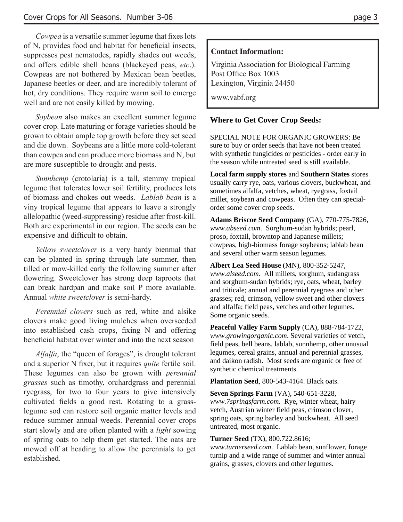*Cowpea* is a versatile summer legume that fixes lots of N, provides food and habitat for beneficial insects, suppresses pest nematodes, rapidly shades out weeds, and offers edible shell beans (blackeyed peas, *etc*.). Cowpeas are not bothered by Mexican bean beetles, Japanese beetles or deer, and are incredibly tolerant of hot, dry conditions. They require warm soil to emerge well and are not easily killed by mowing.

*Soybean* also makes an excellent summer legume cover crop. Late maturing or forage varieties should be grown to obtain ample top growth before they set seed and die down. Soybeans are a little more cold-tolerant than cowpea and can produce more biomass and N, but are more susceptible to drought and pests.

*Sunnhemp* (crotolaria) is a tall, stemmy tropical legume that tolerates lower soil fertility, produces lots of biomass and chokes out weeds. *Lablab bean* is a viny tropical legume that appears to leave a strongly allelopathic (weed-suppressing) residue after frost-kill. Both are experimental in our region. The seeds can be expensive and difficult to obtain.

*Yellow sweetclover* is a very hardy biennial that can be planted in spring through late summer, then tilled or mow-killed early the following summer after flowering. Sweetclover has strong deep taproots that can break hardpan and make soil P more available. Annual *white sweetclover* is semi-hardy.

*Perennial clovers* such as red, white and alsike clovers make good living mulches when overseeded into established cash crops, fixing  $N$  and offering beneficial habitat over winter and into the next season.

*Alfalfa*, the "queen of forages", is drought tolerant and a superior N fixer, but it requires *quite* fertile soil. These legumes can also be grown with *perennial grasses* such as timothy, orchardgrass and perennial ryegrass, for two to four years to give intensively cultivated fields a good rest. Rotating to a grasslegume sod can restore soil organic matter levels and reduce summer annual weeds. Perennial cover crops start slowly and are often planted with a *light* sowing of spring oats to help them get started. The oats are mowed off at heading to allow the perennials to get established.

#### **Contact Information:**

 Virginia Association for Biological Farming Post Office Box 1003 Lexington, Virginia 24450

www.vabf.org

### **Where to Get Cover Crop Seeds:**

SPECIAL NOTE FOR ORGANIC GROWERS: Be sure to buy or order seeds that have not been treated with synthetic fungicides or pesticides - order early in the season while untreated seed is still available.

**Local farm supply stores** and **Southern States** stores usually carry rye, oats, various clovers, buckwheat, and sometimes alfalfa, vetches, wheat, ryegrass, foxtail millet, soybean and cowpeas. Often they can specialorder some cover crop seeds.

**Adams Briscoe Seed Company** (GA), 770-775-7826, *www.abseed.com*. Sorghum-sudan hybrids; pearl, proso, foxtail, browntop and Japanese millets; cowpeas, high-biomass forage soybeans; lablab bean and several other warm season legumes.

**Albert Lea Seed House** (MN), 800-352-5247, *www.alseed.com*. All millets, sorghum, sudangrass and sorghum-sudan hybrids; rye, oats, wheat, barley and triticale; annual and perennial ryegrass and other grasses; red, crimson, yellow sweet and other clovers and alfalfa; field peas, vetches and other legumes. Some organic seeds.

**Peaceful Valley Farm Supply** (CA), 888-784-1722, *www.growingorganic.com*. Several varieties of vetch, field peas, bell beans, lablab, sunnhemp, other unusual legumes, cereal grains, annual and perennial grasses, and daikon radish. Most seeds are organic or free of synthetic chemical treatments.

**Plantation Seed**, 800-543-4164. Black oats.

**Seven Springs Farm** (VA), 540-651-3228, *www.7springsfarm.com*. Rye, winter wheat, hairy vetch, Austrian winter field peas, crimson clover, spring oats, spring barley and buckwheat. All seed untreated, most organic.

#### **Turner Seed** (TX), 800.722.8616;

*www.turnerseed.com*. Lablab bean, sunflower, forage turnip and a wide range of summer and winter annual grains, grasses, clovers and other legumes.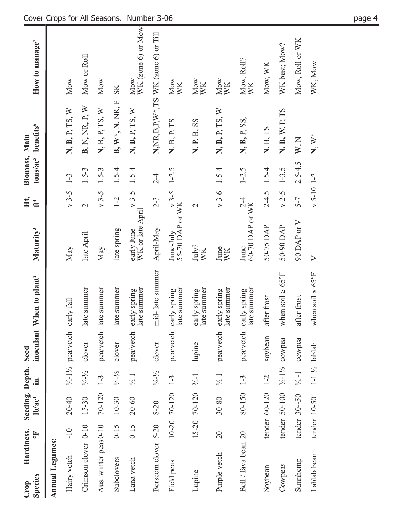| <b>Species</b><br>Crop | Hardiness,            | Fo       | Seeding, Depth, Seed<br>lb/ac <sup>1</sup> | $\dot{a}$                   |                                          | inoculant When to plant <sup>2</sup>  | Maturity <sup>3</sup>                      | Ht,<br>$\mathbf{f}^4$ | Biomass, Main | tons/ac <sup>5</sup> benefits <sup>6</sup> | How to manage <sup><math>7</math></sup>    |
|------------------------|-----------------------|----------|--------------------------------------------|-----------------------------|------------------------------------------|---------------------------------------|--------------------------------------------|-----------------------|---------------|--------------------------------------------|--------------------------------------------|
| Annual Legumes:        |                       |          |                                            |                             |                                          |                                       |                                            |                       |               |                                            |                                            |
| Hairy vetch            |                       | $-10$    | $20 - 40$                                  |                             | $\frac{1}{2}$ -1 $\frac{1}{2}$ pea/vetch | early fall                            | May                                        | $v$ 3-5 1-3           |               | N, B, P, TS, W                             | Mow                                        |
|                        | Crimson clover 0-10   |          | $15 - 30$                                  | $\frac{1}{4} - \frac{1}{2}$ | clover                                   | late summer                           | late April                                 | $\mathcal{L}$         | $1.5 - 3$     | B, N, NR, P, W                             | Mow or Roll                                |
|                        | Aus. winter peas 0-10 |          | 70-120                                     | $1 - 3$                     | pea/vetch                                | late summer                           | May                                        | $v 3-5$               | $1.5 - 3$     | N, B, P, TS, W                             | Mow                                        |
| Subclovers             |                       | $0 - 15$ | $10 - 30$                                  | $\frac{1}{4} - \frac{1}{2}$ | clover                                   | late summer                           | late spring                                | $1 - 2$               | $1.5 - 4$     | B, W*, N, NR, P                            | <b>SK</b>                                  |
| Lana vetch             |                       | $0 - 15$ | $20 - 60$                                  | $\frac{1}{2}$ -1            | pea/vetch                                | late summer<br>early spring           | $WK$ or late April<br>WK or late April     |                       |               | N, B, P, TS, W                             | WK (zone 6) or Mow<br>Mow                  |
|                        | Berseem clover 5-20   |          | $8 - 20$                                   | $1/4 - 1/2$                 | clover                                   | mid-late summer                       | April-May                                  | $2 - 3$               | $2 - 4$       |                                            | $N, NR, B, P, W^*, TS$ WK (zone 6) or Till |
| Field peas             |                       |          | $10-20$ 70-120                             | $1-3$                       | pea/vetch                                | late summer<br>early spring           | June-July $v$ 3-5 1-2.5<br>55-70 DAP or WK |                       |               | N, B, P, TS                                | Mow<br>WK                                  |
| Lupine                 |                       |          | $15-20$ 70-120 $\frac{3}{4}$ -1            |                             | lupine                                   | early spring<br>late summer           | $\frac{\mathrm{July}^2}{\mathrm{WK}}$      | $\mathbf{\sim}$       |               | N, P, B, SS                                | Mow<br>WK                                  |
| Purple vetch           |                       | 20       | $30 - 80$                                  | $\frac{1}{2}$ -1            |                                          | late summer<br>pea/vetch early spring | June<br>WK                                 | $v$ 3-6 1.5-4         |               | N, B, P, TS, W                             | Mow<br>WK                                  |
|                        | Bell / fava bean 20   |          | 80-150                                     | $1-3$                       |                                          | late summer<br>pea/vetch early spring | June $2^{-4}$<br>60-70 DAP or WK           |                       | $1 - 2.5$     | N, B, P, SS,                               | Mow, Roll?<br>WK                           |
| Soybean                |                       |          | tender 60-120                              | $1-2$                       | soybean                                  | after frost                           | 50-75 DAP                                  | $2-4.5$ 1.5-4         |               | N, B, TS                                   | Mow, WK                                    |
| Cowpeas                |                       |          | tender 50-100                              |                             | $\frac{3}{4}$ -1 $\frac{1}{2}$ cowpea    | when soil $\geq 65^{\circ}$ F         | 50-90 DAP                                  | $v 2-5$ 1-3.5         |               | N, B, W, P, TS                             | WK best; Mow?                              |
| Sunnhemp               |                       |          | tender 30--50                              | $\frac{1}{2} - 1$           | cowpea                                   | after frost                           | 90 DAP or V                                | $5-7$                 | $2.5 - 4.5$   | W, N                                       | Mow, Roll or WK                            |
| Lablab bean            |                       |          | tender 10-50                               |                             | $1-1\frac{1}{2}$ lablab                  | when soil $\geq 65^{\circ}$ F         | $\triangleright$                           | $v 5-10 1-2$          |               | $N, W^*$                                   | WK, Mow                                    |

# Cover Crops for All Seasons. Number 3-06 page 4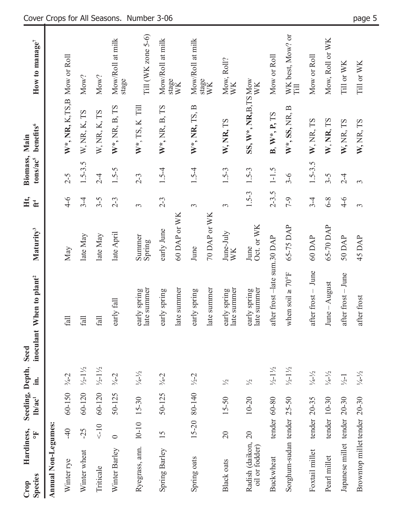| <b>Species</b><br>Crop     | Hardiness,                        | 똥              | Seeding, Depth,<br>$\ln/a$ c <sup>1</sup> | $\dot{m}$                    | inoculant<br>Seed | When to plant <sup>2</sup>    | Maturity <sup>3</sup> | Ht,<br>ť              | Biomass, Main<br>tons/ac <sup>5</sup> | benefits <sup>6</sup>        | How to manage <sup>7</sup>       |
|----------------------------|-----------------------------------|----------------|-------------------------------------------|------------------------------|-------------------|-------------------------------|-----------------------|-----------------------|---------------------------------------|------------------------------|----------------------------------|
| <b>Annual Non-Legumes:</b> |                                   |                |                                           |                              |                   |                               |                       |                       |                                       |                              |                                  |
| Winter rye                 |                                   | $-40$          | $60-150$ $\frac{3}{4}-2$                  |                              |                   | fall                          | May                   | $4 - 6$               | $2 - 5$                               | W*, NR, K, TS, B Mow or Roll |                                  |
| Winter wheat               |                                   | $-25$          | $60-120$ $\frac{1}{2}$ $\frac{1}{2}$      |                              |                   | fall                          | late May              | $3 - 4$               | $1.5 - 3.5$                           | W, NR, K, TS                 | Mow?                             |
| Triticale                  |                                   | $10 -$         | $60-120$ $\frac{1}{2}$ $\frac{1}{2}$      |                              |                   | fall                          | late May              | $3 - 5$               | $2 - 4$                               | W, NR, K, TS                 | Mow?                             |
| Winter Barley              |                                   | $\circ$        | $50 - 125$                                | $\frac{3}{4} - 2$            |                   | early fall                    | late April            | $2 - 3$               | $1.5 - 5$                             | $W^*, NR, B, TS$             | Mow/Roll at milk<br>stage        |
| Ryegrass, ann.             |                                   | $10 - 10$      | $15 - 30$                                 | $\frac{1}{4} - \frac{1}{2}$  |                   | early spring<br>late summer   | Summer<br>Spring      | 3                     | $2 - 3$                               | $W^*$ , TS, K Till           | Till (WK zone $5-6$ )            |
| Spring Barley              |                                   | 15             | $50 - 125$ $\frac{3}{4} - 2$              |                              |                   | early spring                  | early June            | $2 - 3$               | $1.5 - 4$                             | W <sup>*</sup> , NR, B, TS   | Mow/Roll at milk                 |
|                            |                                   |                |                                           |                              |                   | late summer                   | 60 DAP or WK          |                       |                                       |                              | $\frac{\text{stage}}{\text{WK}}$ |
| Spring oats                |                                   |                | 15-20 80-140                              | $\frac{1}{2} - 2$            |                   | early spring                  | June                  | 3                     | $1.5 - 4$                             | W*, NR, TS, B                | Mow/Roll at milk                 |
|                            |                                   |                |                                           |                              |                   | late summer                   | 70 DAP or WK          |                       |                                       |                              | $\frac{\text{stage}}{\text{WK}}$ |
| <b>Black oats</b>          |                                   | $\overline{c}$ | $15 - 50$                                 | $\frac{1}{2}$                |                   | early spring<br>late summer   | June-July<br>WK       | 3                     | $1.5 - 3$                             | W, NR, TS                    | Mow, Roll?<br>WK                 |
|                            | Radish (daikon,<br>oil or fodder) | $\overline{c}$ | $10 - 20$                                 | $\frac{1}{2}$                |                   | early spring<br>late summer   | Oct. or WK<br>June    | $1.5 - 3$             | $1.5 - 3$                             | SS, W*, NR, B, TS Mow        | WK                               |
| Buckwheat                  |                                   |                | $t$ ender $60 - 80$                       | $\frac{1}{2} - 1\frac{1}{2}$ |                   | after frost -late sum.30 DAP  |                       |                       | $2-3.5$ 1-1.5                         | B, W*, P, TS                 | Mow or Roll                      |
|                            | Sorghum-sudan tender              |                | $25 - 50$                                 | $\frac{1}{2} - 1\frac{1}{2}$ |                   | when soil $\geq 70^{\circ}$ F | 65-75 DAP             | $6 - 7$               | $3 - 6$                               | $W^*, SS, NR, B$             | WK best, Mow? or<br>Fill         |
| Foxtail millet             |                                   |                | tender 20-35                              | $1/4 - 1/2$                  |                   | after frost - June            | 60 DAP                | $3 - 4$               | $1.5 - 3.5$                           | W, NR, TS                    | Mow or Roll                      |
| Pearl millet               |                                   |                | tender $10-30$                            | $\frac{1}{4} - \frac{1}{2}$  |                   | June - August                 | 65-70 DAP             | $6 - 8$               | $3 - 5$                               | W, NR, TS                    | Mow, Roll or WK                  |
|                            | Japanese millet tender            |                | $20 - 30$                                 | $\frac{1}{2}$ -1             |                   | after frost - June            | 50 DAP                | $4 - 6$               | $2 - 4$                               | W, NR, TS                    | Till or WK                       |
|                            | Browntop millet tender 20-30      |                |                                           | $\frac{1}{4} - \frac{1}{2}$  |                   | after frost                   | 45 DAP                | $\tilde{\phantom{a}}$ | $\infty$                              | W, NR, TS                    | Till or WK                       |

# Cover Crops for All Seasons. Number 3-06 page 5